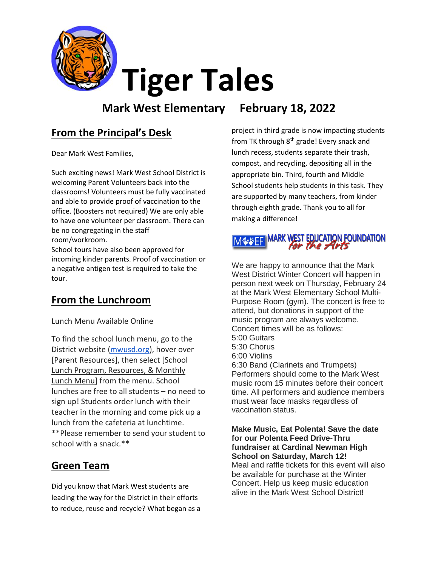

# **Tiger Tales**

# **Mark West Elementary February 18, 2022**

# **From the Principal's Desk**

Dear Mark West Families,

Such exciting news! Mark West School District is welcoming Parent Volunteers back into the classrooms! Volunteers must be fully vaccinated and able to provide proof of vaccination to the office. (Boosters not required) We are only able to have one volunteer per classroom. There can be no congregating in the staff room/workroom.

School tours have also been approved for incoming kinder parents. Proof of vaccination or a negative antigen test is required to take the tour.

## **From the Lunchroom**

Lunch Menu Available Online

To find the school lunch menu, go to the District website [\(mwusd.org\)](http://mwusd.org/), hover over [Parent Resources], then select [School Lunch Program, Resources, & Monthly Lunch Menu] from the menu. School lunches are free to all students – no need to sign up! Students order lunch with their teacher in the morning and come pick up a lunch from the cafeteria at lunchtime. \*\*Please remember to send your student to school with a snack.\*\*

## **Green Team**

Did you know that Mark West students are leading the way for the District in their efforts to reduce, reuse and recycle? What began as a

project in third grade is now impacting students from TK through 8<sup>th</sup> grade! Every snack and lunch recess, students separate their trash, compost, and recycling, depositing all in the appropriate bin. Third, fourth and Middle School students help students in this task. They are supported by many teachers, from kinder through eighth grade. Thank you to all for making a difference!



We are happy to announce that the Mark West District Winter Concert will happen in person next week on Thursday, February 24 at the Mark West Elementary School Multi-Purpose Room (gym). The concert is free to attend, but donations in support of the music program are always welcome. Concert times will be as follows: 5:00 Guitars 5:30 Chorus 6:00 Violins 6:30 Band (Clarinets and Trumpets) Performers should come to the Mark West music room 15 minutes before their concert time. All performers and audience members must wear face masks regardless of vaccination status.

**Make Music, Eat Polenta! Save the date for our Polenta Feed Drive-Thru fundraiser at Cardinal Newman High School on Saturday, March 12!**  Meal and raffle tickets for this event will also be available for purchase at the Winter Concert. Help us keep music education alive in the Mark West School District!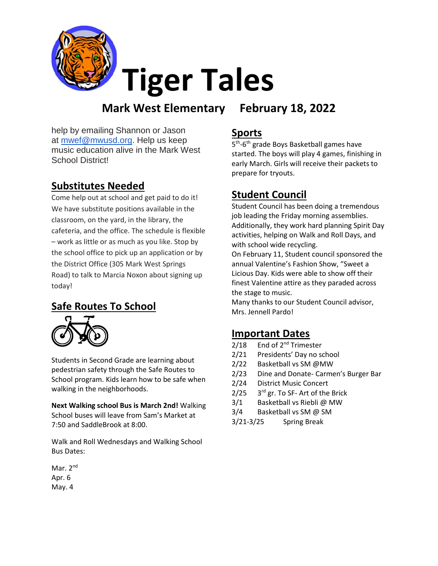

# **Tiger Tales**

# **Mark West Elementary February 18, 2022**

help by emailing Shannon or Jason at [mwef@mwusd.org.](mailto:mwef@mwusd.org) Help us keep music education alive in the Mark West School District!

# **Substitutes Needed**

Come help out at school and get paid to do it! We have substitute positions available in the classroom, on the yard, in the library, the cafeteria, and the office. The schedule is flexible – work as little or as much as you like. Stop by the school office to pick up an application or by the District Office (305 Mark West Springs Road) to talk to Marcia Noxon about signing up today!

### **Safe Routes To School**



Students in Second Grade are learning about pedestrian safety through the Safe Routes to School program. Kids learn how to be safe when walking in the neighborhoods.

**Next Walking school Bus is March 2nd!** Walking School buses will leave from Sam's Market at 7:50 and SaddleBrook at 8:00.

Walk and Roll Wednesdays and Walking School Bus Dates:

Mar. 2<sup>nd</sup> Apr. 6 May. 4

#### **Sports**

5<sup>th</sup>-6<sup>th</sup> grade Boys Basketball games have started. The boys will play 4 games, finishing in early March. Girls will receive their packets to prepare for tryouts.

### **Student Council**

Student Council has been doing a tremendous job leading the Friday morning assemblies. Additionally, they work hard planning Spirit Day activities, helping on Walk and Roll Days, and with school wide recycling.

On February 11, Student council sponsored the annual Valentine's Fashion Show, "Sweet a Licious Day. Kids were able to show off their finest Valentine attire as they paraded across the stage to music.

Many thanks to our Student Council advisor, Mrs. Jennell Pardo!

### **Important Dates**

- $2/18$  End of  $2^{nd}$  Trimester
- 2/21 Presidents' Day no school
- 2/22 Basketball vs SM @MW
- 2/23 Dine and Donate- Carmen's Burger Bar
- 2/24 District Music Concert
- $2/25$ 3rd gr. To SF- Art of the Brick
- 3/1 Basketball vs Riebli @ MW
- 3/4 Basketball vs SM @ SM
- 3/21-3/25 Spring Break